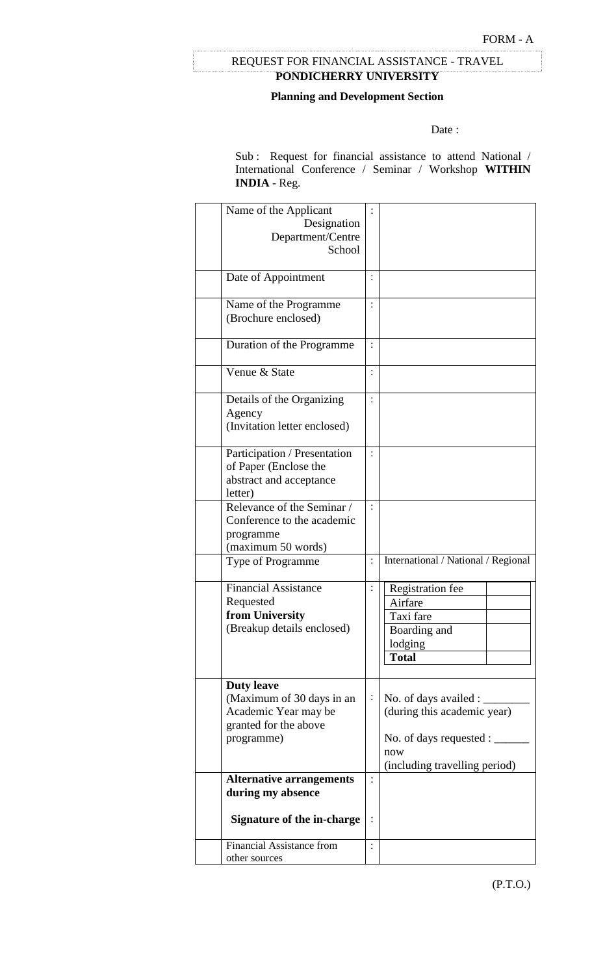# **PONDICHERRY UNIVERSITY** REQUEST FOR FINANCIAL ASSISTANCE - TRAVEL

#### **Planning and Development Section**

#### Date:

Sub : Request for financial assistance to attend National / International Conference / Seminar / Workshop **WITHIN INDIA** - Reg.

| Name of the Applicant                          |                |                                     |
|------------------------------------------------|----------------|-------------------------------------|
| Designation                                    |                |                                     |
| Department/Centre                              |                |                                     |
| School                                         |                |                                     |
|                                                |                |                                     |
| Date of Appointment                            | $\ddot{\cdot}$ |                                     |
|                                                |                |                                     |
| Name of the Programme                          |                |                                     |
| (Brochure enclosed)                            |                |                                     |
|                                                |                |                                     |
| Duration of the Programme                      | $\ddot{\cdot}$ |                                     |
|                                                |                |                                     |
| Venue & State                                  | $\ddot{\cdot}$ |                                     |
|                                                |                |                                     |
| Details of the Organizing                      |                |                                     |
| Agency                                         |                |                                     |
| (Invitation letter enclosed)                   |                |                                     |
|                                                |                |                                     |
| Participation / Presentation                   |                |                                     |
| of Paper (Enclose the                          |                |                                     |
| abstract and acceptance                        |                |                                     |
| letter)                                        |                |                                     |
| Relevance of the Seminar /                     | $\ddot{\cdot}$ |                                     |
| Conference to the academic                     |                |                                     |
| programme                                      |                |                                     |
| (maximum 50 words)                             |                |                                     |
| Type of Programme                              | $\ddot{\cdot}$ | International / National / Regional |
| <b>Financial Assistance</b>                    |                |                                     |
|                                                |                | Registration fee                    |
| Requested<br>from University                   |                | Airfare                             |
| (Breakup details enclosed)                     |                | Taxi fare                           |
|                                                |                | Boarding and                        |
|                                                |                | lodging                             |
|                                                |                | <b>Total</b>                        |
|                                                |                |                                     |
| <b>Duty leave</b><br>(Maximum of 30 days in an | $\ddot{\cdot}$ | No. of days availed :               |
| Academic Year may be                           |                | (during this academic year)         |
| granted for the above                          |                |                                     |
| programme)                                     |                | No. of days requested :             |
|                                                |                | now                                 |
|                                                |                | (including travelling period)       |
| <b>Alternative arrangements</b>                |                |                                     |
| during my absence                              |                |                                     |
|                                                |                |                                     |
| <b>Signature of the in-charge</b>              |                |                                     |
|                                                |                |                                     |
| <b>Financial Assistance from</b>               |                |                                     |
| other sources                                  |                |                                     |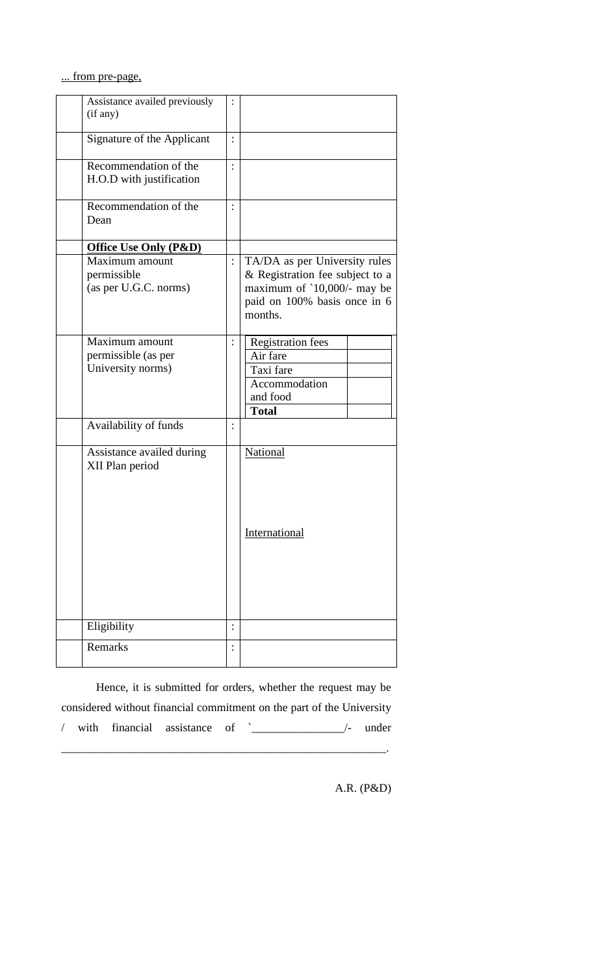... from pre-page,

| Assistance availed previously<br>(if any)                  |                |                                                                                                                                            |
|------------------------------------------------------------|----------------|--------------------------------------------------------------------------------------------------------------------------------------------|
| Signature of the Applicant                                 | $\ddot{\cdot}$ |                                                                                                                                            |
| Recommendation of the<br>H.O.D with justification          |                |                                                                                                                                            |
| Recommendation of the<br>Dean                              |                |                                                                                                                                            |
| <b>Office Use Only (P&amp;D)</b>                           |                |                                                                                                                                            |
| Maximum amount<br>permissible<br>(as per U.G.C. norms)     | $\ddot{\cdot}$ | TA/DA as per University rules<br>& Registration fee subject to a<br>maximum of '10,000/- may be<br>paid on 100% basis once in 6<br>months. |
| Maximum amount<br>permissible (as per<br>University norms) |                | <b>Registration fees</b><br>Air fare<br>Taxi fare<br>Accommodation<br>and food<br><b>Total</b>                                             |
| Availability of funds                                      |                |                                                                                                                                            |
| Assistance availed during<br>XII Plan period               |                | National<br>International                                                                                                                  |
|                                                            |                |                                                                                                                                            |
| Eligibility                                                |                |                                                                                                                                            |
| Remarks                                                    | $\ddot{\cdot}$ |                                                                                                                                            |

Hence, it is submitted for orders, whether the request may be considered without financial commitment on the part of the University / with financial assistance of `\_\_\_\_\_\_\_\_\_\_\_\_\_\_\_\_/- under

\_\_\_\_\_\_\_\_\_\_\_\_\_\_\_\_\_\_\_\_\_\_\_\_\_\_\_\_\_\_\_\_\_\_\_\_\_\_\_\_\_\_\_\_\_\_\_\_\_\_\_\_\_\_\_\_.

A.R. (P&D)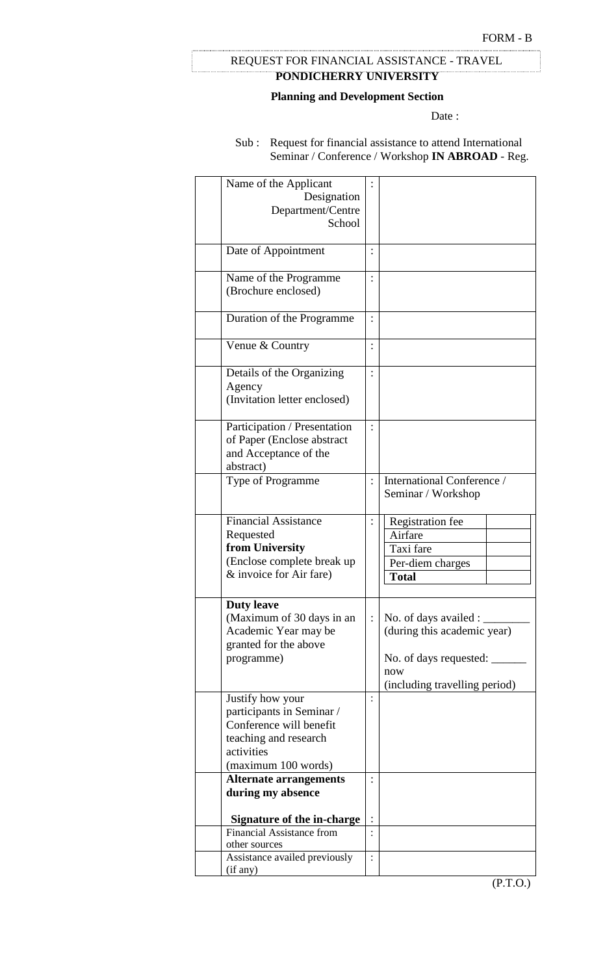# **PONDICHERRY UNIVERSITY** REQUEST FOR FINANCIAL ASSISTANCE - TRAVEL

### **Planning and Development Section**

Date:

Sub : Request for financial assistance to attend International Seminar / Conference / Workshop **IN ABROAD** - Reg.

| Name of the Applicant<br>Designation<br>Department/Centre<br>School                                                                    |                                                                                                                        |
|----------------------------------------------------------------------------------------------------------------------------------------|------------------------------------------------------------------------------------------------------------------------|
| Date of Appointment                                                                                                                    |                                                                                                                        |
| Name of the Programme<br>(Brochure enclosed)                                                                                           |                                                                                                                        |
| Duration of the Programme                                                                                                              |                                                                                                                        |
| Venue & Country                                                                                                                        |                                                                                                                        |
| Details of the Organizing<br>Agency<br>(Invitation letter enclosed)                                                                    |                                                                                                                        |
| Participation / Presentation<br>of Paper (Enclose abstract<br>and Acceptance of the<br>abstract)                                       |                                                                                                                        |
| Type of Programme                                                                                                                      | International Conference /<br>Seminar / Workshop                                                                       |
| <b>Financial Assistance</b><br>Requested<br>from University<br>(Enclose complete break up<br>& invoice for Air fare)                   | Registration fee<br>Airfare<br>Taxi fare<br>Per-diem charges<br><b>Total</b>                                           |
| <b>Duty leave</b><br>(Maximum of 30 days in an<br>Academic Year may be<br>granted for the above<br>programme)                          | No. of days availed :<br>(during this academic year)<br>No. of days requested:<br>now<br>(including travelling period) |
| Justify how your<br>participants in Seminar /<br>Conference will benefit<br>teaching and research<br>activities<br>(maximum 100 words) |                                                                                                                        |
| <b>Alternate arrangements</b><br>during my absence<br>Signature of the in-charge                                                       |                                                                                                                        |
| <b>Financial Assistance from</b><br>other sources                                                                                      |                                                                                                                        |
| Assistance availed previously<br>(if any)                                                                                              |                                                                                                                        |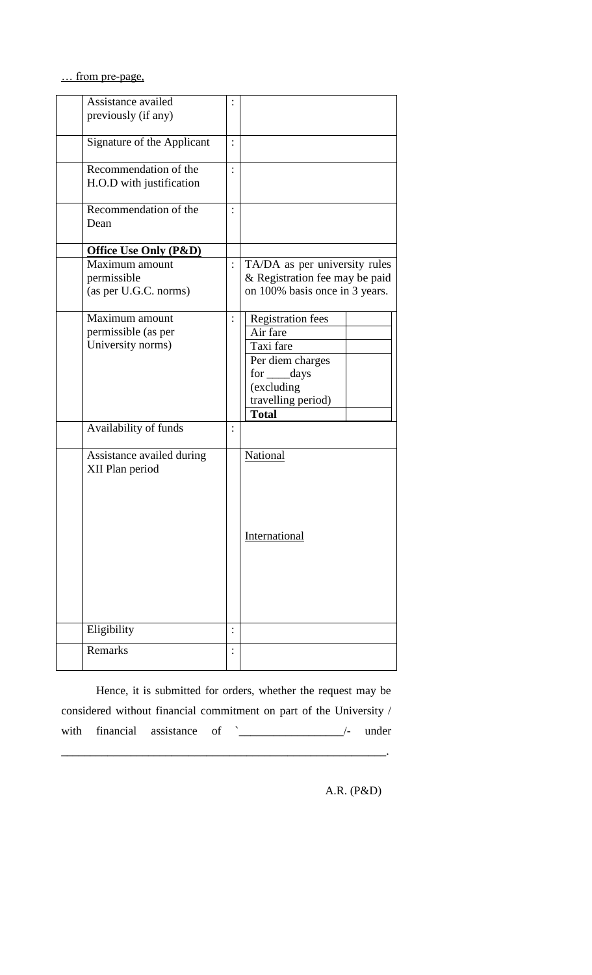… from pre-page,

| Assistance availed<br>previously (if any)                  |                            |                |                                                                                                                                           |
|------------------------------------------------------------|----------------------------|----------------|-------------------------------------------------------------------------------------------------------------------------------------------|
|                                                            | Signature of the Applicant |                |                                                                                                                                           |
| Recommendation of the<br>H.O.D with justification          |                            |                |                                                                                                                                           |
| Recommendation of the<br>Dean                              |                            |                |                                                                                                                                           |
| <b>Office Use Only (P&amp;D)</b>                           |                            |                |                                                                                                                                           |
| Maximum amount<br>permissible<br>(as per U.G.C. norms)     |                            | $\ddot{\cdot}$ | TA/DA as per university rules<br>& Registration fee may be paid<br>on 100% basis once in 3 years.                                         |
| Maximum amount<br>permissible (as per<br>University norms) |                            | $\vdots$       | <b>Registration fees</b><br>Air fare<br>Taxi fare<br>Per diem charges<br>for ____days<br>(excluding<br>travelling period)<br><b>Total</b> |
| Availability of funds                                      |                            | $\ddot{\cdot}$ |                                                                                                                                           |
| XII Plan period                                            | Assistance availed during  |                | National<br>International                                                                                                                 |
| Eligibility                                                |                            |                |                                                                                                                                           |
| Remarks                                                    |                            |                |                                                                                                                                           |

Hence, it is submitted for orders, whether the request may be considered without financial commitment on part of the University / with financial assistance of <u>`</u>\_\_\_\_\_\_\_\_\_\_\_\_\_\_\_\_/- under

\_\_\_\_\_\_\_\_\_\_\_\_\_\_\_\_\_\_\_\_\_\_\_\_\_\_\_\_\_\_\_\_\_\_\_\_\_\_\_\_\_\_\_\_\_\_\_\_\_\_\_\_\_\_\_\_.

A.R. (P&D)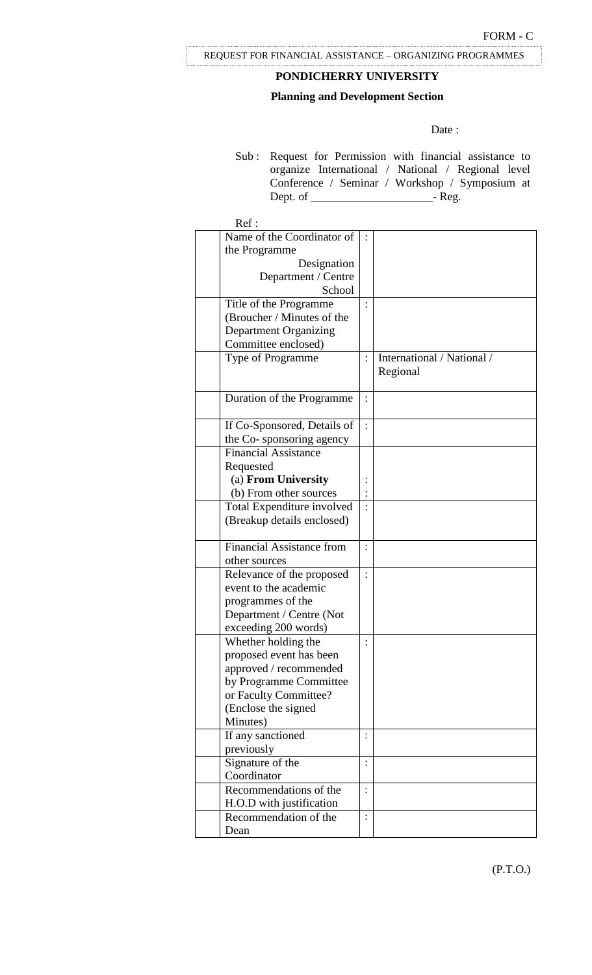# **PONDICHERRY UNIVERSITY**

## **Planning and Development Section**

Date:

Sub : Request for Permission with financial assistance to organize International / National / Regional level Conference / Seminar / Workshop / Symposium at Dept. of \_\_\_\_\_\_\_\_\_\_\_\_\_\_\_\_\_\_\_\_\_- Reg.

| Ref:                             |                |                            |
|----------------------------------|----------------|----------------------------|
| Name of the Coordinator of       |                |                            |
| the Programme                    |                |                            |
| Designation                      |                |                            |
| Department / Centre              |                |                            |
| School                           |                |                            |
| Title of the Programme           |                |                            |
| (Broucher / Minutes of the       |                |                            |
| <b>Department Organizing</b>     |                |                            |
| Committee enclosed)              |                |                            |
| Type of Programme                |                | International / National / |
|                                  |                | Regional                   |
|                                  |                |                            |
| Duration of the Programme        |                |                            |
|                                  |                |                            |
| If Co-Sponsored, Details of      |                |                            |
| the Co-sponsoring agency         |                |                            |
| <b>Financial Assistance</b>      |                |                            |
| Requested                        |                |                            |
| (a) From University              |                |                            |
| (b) From other sources           |                |                            |
| Total Expenditure involved       |                |                            |
| (Breakup details enclosed)       |                |                            |
|                                  |                |                            |
| <b>Financial Assistance from</b> |                |                            |
| other sources                    |                |                            |
| Relevance of the proposed        | $\ddot{\cdot}$ |                            |
| event to the academic            |                |                            |
| programmes of the                |                |                            |
| Department / Centre (Not         |                |                            |
| exceeding 200 words)             |                |                            |
| Whether holding the              |                |                            |
| proposed event has been          |                |                            |
| approved / recommended           |                |                            |
| by Programme Committee           |                |                            |
| or Faculty Committee?            |                |                            |
| (Enclose the signed              |                |                            |
| Minutes)                         |                |                            |
| If any sanctioned                |                |                            |
| previously                       |                |                            |
| Signature of the                 |                |                            |
| Coordinator                      |                |                            |
| Recommendations of the           |                |                            |
| H.O.D with justification         |                |                            |
| Recommendation of the            |                |                            |
| Dean                             |                |                            |

(P.T.O.)